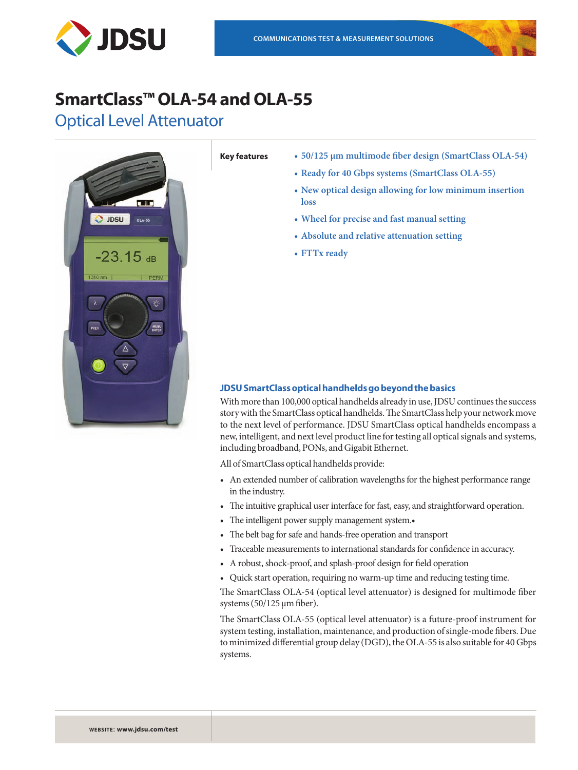

# **SmartClass™ OLA-54 and OLA-55**

Optical Level Attenuator



- **Key features • 50/125 μm multimode fiber design (SmartClass OLA-54)**
	- **• Ready for 40 Gbps systems (SmartClass OLA-55)**
	- **• New optical design allowing for low minimum insertion loss**
	- **• Wheel for precise and fast manual setting**
	- **• Absolute and relative attenuation setting**
	- **• FTTx ready**

## **JDSU SmartClass optical handhelds go beyond the basics**

With more than 100,000 optical handhelds already in use, JDSU continues the success story with the SmartClass optical handhelds. The SmartClass help your network move to the next level of performance. JDSU SmartClass optical handhelds encompass a new, intelligent, and next level product line for testing all optical signals and systems, including broadband, PONs, and Gigabit Ethernet.

All of SmartClass optical handhelds provide:

- An extended number of calibration wavelengths for the highest performance range in the industry.
- The intuitive graphical user interface for fast, easy, and straightforward operation.
- The intelligent power supply management system.
- • The belt bag for safe and hands-free operation and transport
- • Traceable measurements to international standards for confidence in accuracy.
- • A robust, shock-proof, and splash-proof design for field operation
- • Quick start operation, requiring no warm-up time and reducing testing time.

The SmartClass OLA-54 (optical level attenuator) is designed for multimode fiber systems (50/125 μm fiber).

The SmartClass OLA-55 (optical level attenuator) is a future-proof instrument for system testing, installation, maintenance, and production of single-mode fibers. Due to minimized differential group delay (DGD), the OLA-55 is also suitable for 40 Gbps systems.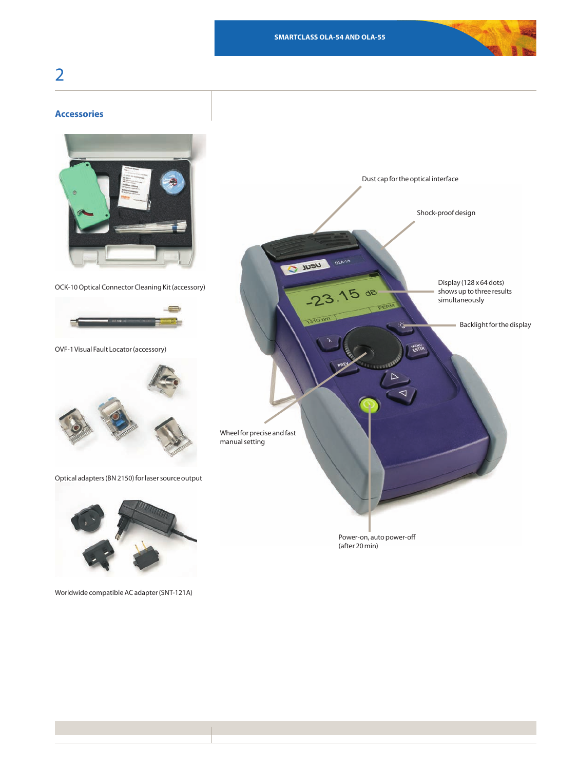# 2

# **Accessories**



OCK-10 Optical Connector Cleaning Kit (accessory)



OVF-1 Visual Fault Locator (accessory)



Optical adapters (BN 2150) for laser source output



Worldwide compatible AC adapter (SNT-121A)

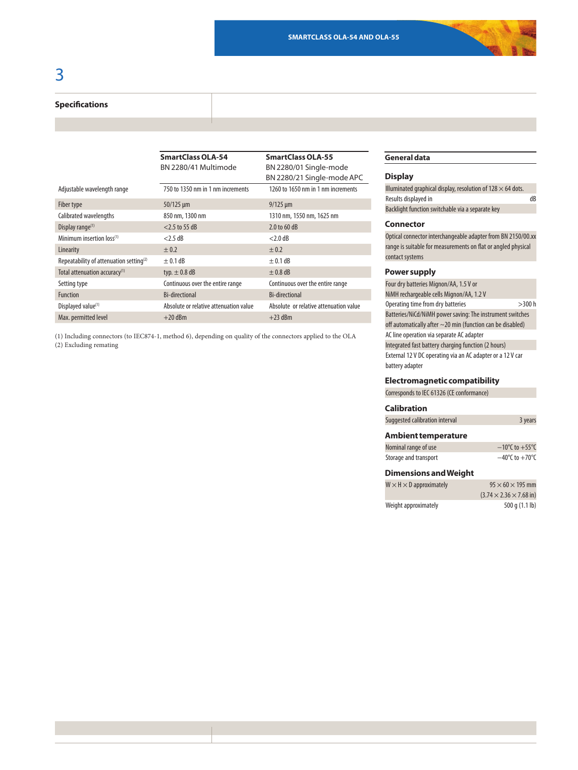#### **Specifications**

|                                                     | <b>SmartClass OLA-54</b>               | <b>SmartClass OLA-55</b>               |  |
|-----------------------------------------------------|----------------------------------------|----------------------------------------|--|
|                                                     | BN 2280/41 Multimode                   | BN 2280/01 Single-mode                 |  |
|                                                     |                                        | BN 2280/21 Single-mode APC             |  |
| Adjustable wavelength range                         | 750 to 1350 nm in 1 nm increments      | 1260 to 1650 nm in 1 nm increments     |  |
| Fiber type                                          | $50/125 \mu m$                         | $9/125 \mu m$                          |  |
| Calibrated wavelengths                              | 850 nm, 1300 nm                        | 1310 nm, 1550 nm, 1625 nm              |  |
| Display range $(1)$                                 | $<$ 2.5 to 55 dB                       | 2.0 to 60 dB                           |  |
| Minimum insertion loss <sup>(1)</sup>               | $<$ 2.5 dB                             | $<$ 2.0 dB                             |  |
| Linearity                                           | ± 0.2                                  | ± 0.2                                  |  |
| Repeatability of attenuation setting <sup>(2)</sup> | $\pm$ 0.1 dB                           | $\pm$ 0.1 dB                           |  |
| Total attenuation accuracy <sup>(1)</sup>           | typ. $\pm$ 0.8 dB                      | $\pm$ 0.8 dB                           |  |
| Setting type                                        | Continuous over the entire range       | Continuous over the entire range       |  |
| <b>Function</b>                                     | <b>Bi-directional</b>                  | <b>Bi-directional</b>                  |  |
| Displayed value <sup>(1)</sup>                      | Absolute or relative attenuation value | Absolute or relative attenuation value |  |
| Max. permitted level                                | $+20$ dBm                              | $+23$ dBm                              |  |

(1) Including connectors (to IEC874-1, method 6), depending on quality of the connectors applied to the OLA (2) Excluding remating

### **General data**

#### **Display**

| Illuminated graphical display, resolution of $128 \times 64$ dots. |    |
|--------------------------------------------------------------------|----|
| Results displayed in                                               | dB |
| Backlight function switchable via a separate key                   |    |

#### **Connector**

Optical connector interchangeable adapter from BN 2150/00.xx range is suitable for measurements on flat or angled physical contact systems

#### **Power supply**

Four dry batteries Mignon/AA, 1.5 V or NiMH rechargeable cells Mignon/AA, 1.2 V Operating time from dry batteries  $>$ 300 h Batteries/NiCd/NiMH power saving: The instrument switches off automatically after  $\sim$  20 min (function can be disabled) AC line operation via separate AC adapter Integrated fast battery charging function (2 hours) External 12 V DC operating via an AC adapter or a 12 V car battery adapter

#### **Electromagnetic compatibility**

Corresponds to IEC 61326 (CE conformance)

#### **Calibration**

| Suggested calibration interval | 3 years |
|--------------------------------|---------|
|                                |         |

#### **Ambient temperature**

| Nominal range of use  | $-10^{\circ}$ C to $+55^{\circ}$ C |
|-----------------------|------------------------------------|
| Storage and transport | $-40^{\circ}$ C to $+70^{\circ}$ C |

#### **Dimensions and Weight**

| $W \times H \times D$ approximately | $95 \times 60 \times 195$ mm                |
|-------------------------------------|---------------------------------------------|
|                                     | $(3.74 \times 2.36 \times 7.68 \text{ in})$ |
| Weight approximately                | 500 q (1.1 lb)                              |